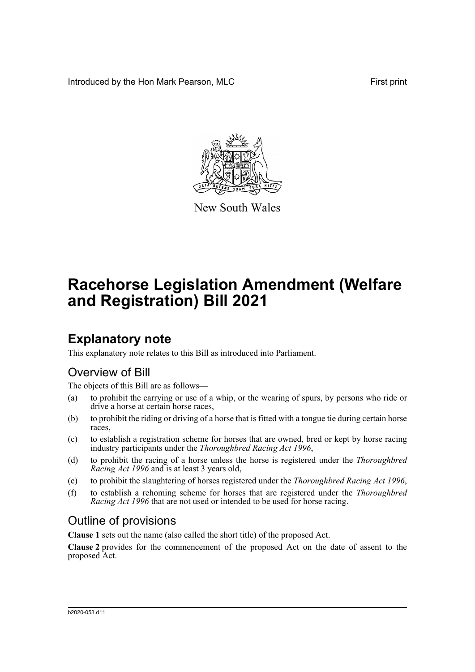Introduced by the Hon Mark Pearson, MLC **First print** First print



New South Wales

# **Racehorse Legislation Amendment (Welfare and Registration) Bill 2021**

## **Explanatory note**

This explanatory note relates to this Bill as introduced into Parliament.

### Overview of Bill

The objects of this Bill are as follows—

- (a) to prohibit the carrying or use of a whip, or the wearing of spurs, by persons who ride or drive a horse at certain horse races,
- (b) to prohibit the riding or driving of a horse that is fitted with a tongue tie during certain horse races,
- (c) to establish a registration scheme for horses that are owned, bred or kept by horse racing industry participants under the *Thoroughbred Racing Act 1996*,
- (d) to prohibit the racing of a horse unless the horse is registered under the *Thoroughbred Racing Act 1996* and is at least 3 years old,
- (e) to prohibit the slaughtering of horses registered under the *Thoroughbred Racing Act 1996*,
- (f) to establish a rehoming scheme for horses that are registered under the *Thoroughbred Racing Act 1996* that are not used or intended to be used for horse racing.

## Outline of provisions

**Clause 1** sets out the name (also called the short title) of the proposed Act.

**Clause 2** provides for the commencement of the proposed Act on the date of assent to the proposed Act.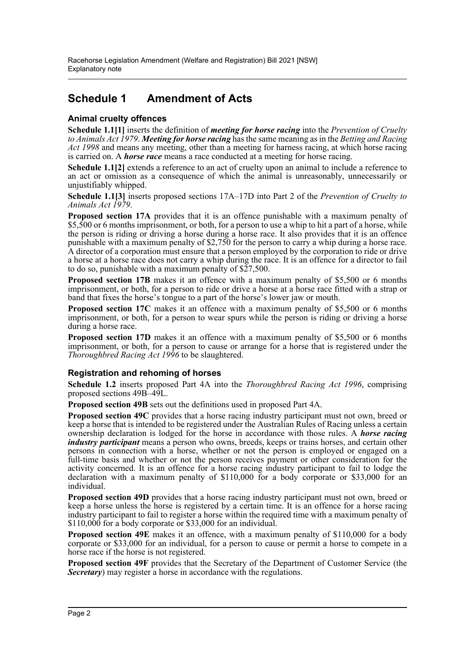### **Schedule 1 Amendment of Acts**

#### **Animal cruelty offences**

**Schedule 1.1[1]** inserts the definition of *meeting for horse racing* into the *Prevention of Cruelty to Animals Act 1979*. *Meeting for horse racing* has the same meaning as in the *Betting and Racing Act 1998* and means any meeting, other than a meeting for harness racing, at which horse racing is carried on. A *horse race* means a race conducted at a meeting for horse racing.

**Schedule 1.1[2]** extends a reference to an act of cruelty upon an animal to include a reference to an act or omission as a consequence of which the animal is unreasonably, unnecessarily or unjustifiably whipped.

**Schedule 1.1[3]** inserts proposed sections 17A–17D into Part 2 of the *Prevention of Cruelty to Animals Act 1979*.

**Proposed section 17A** provides that it is an offence punishable with a maximum penalty of \$5,500 or 6 months imprisonment, or both, for a person to use a whip to hit a part of a horse, while the person is riding or driving a horse during a horse race. It also provides that it is an offence punishable with a maximum penalty of \$2,750 for the person to carry a whip during a horse race. A director of a corporation must ensure that a person employed by the corporation to ride or drive a horse at a horse race does not carry a whip during the race. It is an offence for a director to fail to do so, punishable with a maximum penalty of \$27,500.

**Proposed section 17B** makes it an offence with a maximum penalty of \$5,500 or 6 months imprisonment, or both, for a person to ride or drive a horse at a horse race fitted with a strap or band that fixes the horse's tongue to a part of the horse's lower jaw or mouth.

**Proposed section 17C** makes it an offence with a maximum penalty of \$5,500 or 6 months imprisonment, or both, for a person to wear spurs while the person is riding or driving a horse during a horse race.

**Proposed section 17D** makes it an offence with a maximum penalty of \$5,500 or 6 months imprisonment, or both, for a person to cause or arrange for a horse that is registered under the *Thoroughbred Racing Act 1996* to be slaughtered.

#### **Registration and rehoming of horses**

**Schedule 1.2** inserts proposed Part 4A into the *Thoroughbred Racing Act 1996*, comprising proposed sections 49B–49L.

**Proposed section 49B** sets out the definitions used in proposed Part 4A.

**Proposed section 49C** provides that a horse racing industry participant must not own, breed or keep a horse that is intended to be registered under the Australian Rules of Racing unless a certain ownership declaration is lodged for the horse in accordance with those rules. A *horse racing industry participant* means a person who owns, breeds, keeps or trains horses, and certain other persons in connection with a horse, whether or not the person is employed or engaged on a full-time basis and whether or not the person receives payment or other consideration for the activity concerned. It is an offence for a horse racing industry participant to fail to lodge the declaration with a maximum penalty of \$110,000 for a body corporate or \$33,000 for an individual.

**Proposed section 49D** provides that a horse racing industry participant must not own, breed or keep a horse unless the horse is registered by a certain time. It is an offence for a horse racing industry participant to fail to register a horse within the required time with a maximum penalty of \$110,000 for a body corporate or \$33,000 for an individual.

**Proposed section 49E** makes it an offence, with a maximum penalty of \$110,000 for a body corporate or \$33,000 for an individual, for a person to cause or permit a horse to compete in a horse race if the horse is not registered.

**Proposed section 49F** provides that the Secretary of the Department of Customer Service (the *Secretary*) may register a horse in accordance with the regulations.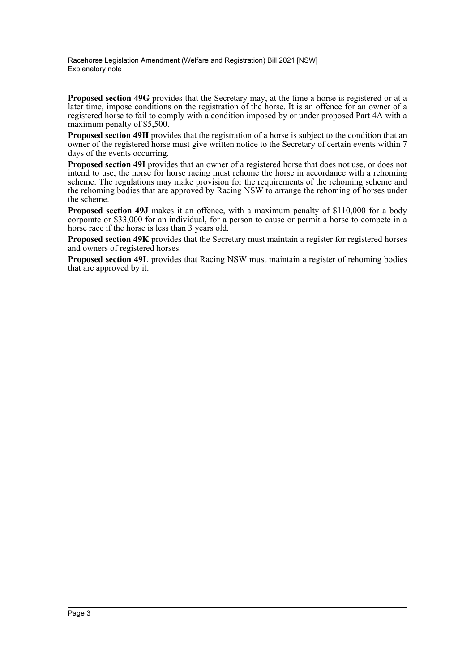**Proposed section 49G** provides that the Secretary may, at the time a horse is registered or at a later time, impose conditions on the registration of the horse. It is an offence for an owner of a registered horse to fail to comply with a condition imposed by or under proposed Part 4A with a maximum penalty of \$5,500.

**Proposed section 49H** provides that the registration of a horse is subject to the condition that an owner of the registered horse must give written notice to the Secretary of certain events within 7 days of the events occurring.

**Proposed section 49I** provides that an owner of a registered horse that does not use, or does not intend to use, the horse for horse racing must rehome the horse in accordance with a rehoming scheme. The regulations may make provision for the requirements of the rehoming scheme and the rehoming bodies that are approved by Racing NSW to arrange the rehoming of horses under the scheme.

**Proposed section 49J** makes it an offence, with a maximum penalty of \$110,000 for a body corporate or \$33,000 for an individual, for a person to cause or permit a horse to compete in a horse race if the horse is less than 3 years old.

**Proposed section 49K** provides that the Secretary must maintain a register for registered horses and owners of registered horses.

**Proposed section 49L** provides that Racing NSW must maintain a register of rehoming bodies that are approved by it.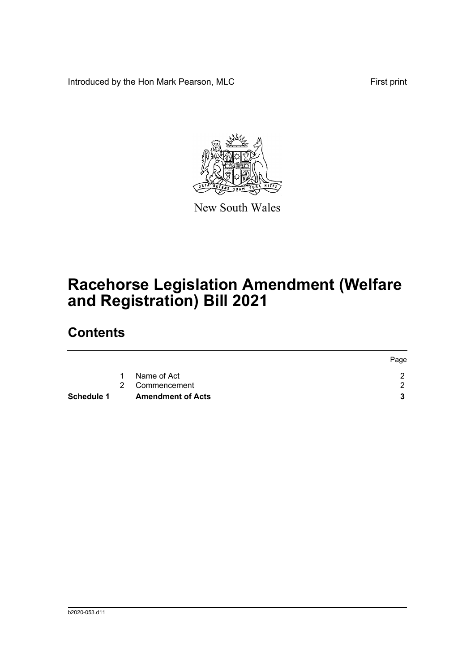Introduced by the Hon Mark Pearson, MLC **First print** First print



New South Wales

# **Racehorse Legislation Amendment (Welfare and Registration) Bill 2021**

## **Contents**

|            |   |                          | Page |
|------------|---|--------------------------|------|
|            | 1 | Name of Act              |      |
|            |   | 2 Commencement           |      |
| Schedule 1 |   | <b>Amendment of Acts</b> |      |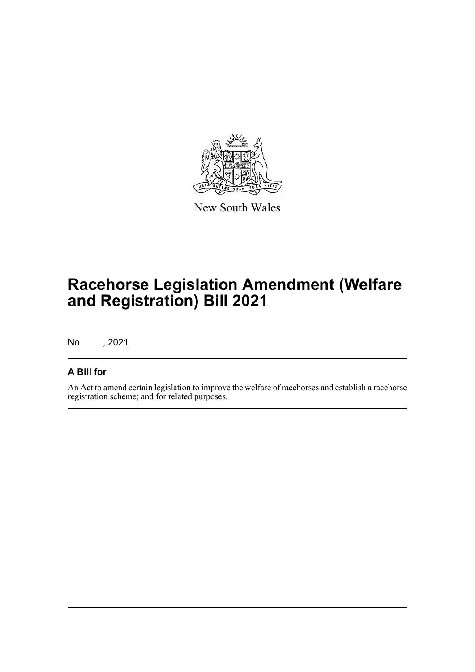

New South Wales

# **Racehorse Legislation Amendment (Welfare and Registration) Bill 2021**

No , 2021

### **A Bill for**

An Act to amend certain legislation to improve the welfare of racehorses and establish a racehorse registration scheme; and for related purposes.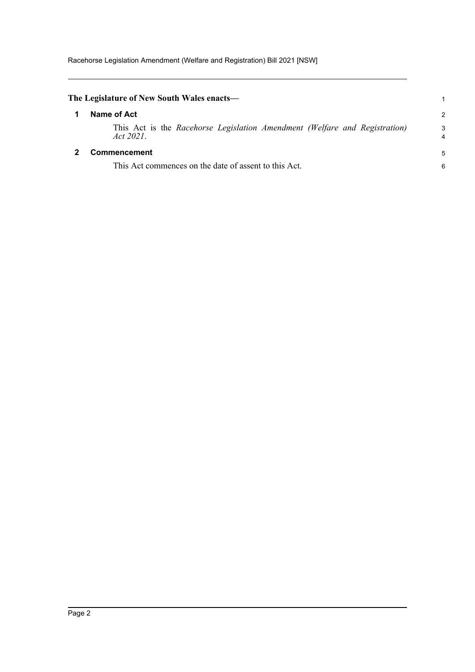<span id="page-5-1"></span><span id="page-5-0"></span>

| The Legislature of New South Wales enacts—                                              | 1             |
|-----------------------------------------------------------------------------------------|---------------|
| Name of Act                                                                             | $\mathcal{P}$ |
| This Act is the Racehorse Legislation Amendment (Welfare and Registration)<br>Act 2021. | 3<br>4        |
| <b>Commencement</b>                                                                     | 5             |
| This Act commences on the date of assent to this Act.                                   | 6             |
|                                                                                         |               |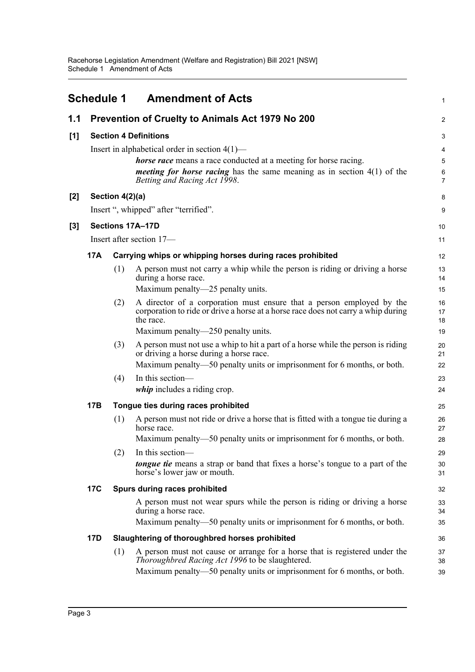<span id="page-6-0"></span>

|       | <b>Schedule 1</b>            |                 | <b>Amendment of Acts</b>                                                                                                                                                                                                                 | 1                |
|-------|------------------------------|-----------------|------------------------------------------------------------------------------------------------------------------------------------------------------------------------------------------------------------------------------------------|------------------|
| 1.1   |                              |                 | Prevention of Cruelty to Animals Act 1979 No 200                                                                                                                                                                                         | $\overline{c}$   |
| [1]   | <b>Section 4 Definitions</b> |                 |                                                                                                                                                                                                                                          | 3                |
|       |                              |                 | Insert in alphabetical order in section $4(1)$ —<br>horse race means a race conducted at a meeting for horse racing.<br><i>meeting for horse racing</i> has the same meaning as in section $4(1)$ of the<br>Betting and Racing Act 1998. | 4<br>5<br>6<br>7 |
| $[2]$ |                              | Section 4(2)(a) |                                                                                                                                                                                                                                          | 8                |
|       |                              |                 | Insert ", whipped" after "terrified".                                                                                                                                                                                                    | 9                |
| [3]   |                              |                 | Sections 17A-17D                                                                                                                                                                                                                         | 10               |
|       |                              |                 | Insert after section 17-                                                                                                                                                                                                                 | 11               |
|       | <b>17A</b>                   |                 | Carrying whips or whipping horses during races prohibited                                                                                                                                                                                | 12               |
|       |                              | (1)             | A person must not carry a whip while the person is riding or driving a horse<br>during a horse race.<br>Maximum penalty—25 penalty units.                                                                                                | 13<br>14<br>15   |
|       |                              | (2)             | A director of a corporation must ensure that a person employed by the<br>corporation to ride or drive a horse at a horse race does not carry a whip during<br>the race.                                                                  | 16<br>17<br>18   |
|       |                              |                 | Maximum penalty—250 penalty units.                                                                                                                                                                                                       | 19               |
|       |                              | (3)             | A person must not use a whip to hit a part of a horse while the person is riding<br>or driving a horse during a horse race.<br>Maximum penalty—50 penalty units or imprisonment for 6 months, or both.                                   | 20<br>21<br>22   |
|       |                              | (4)             | In this section-<br>whip includes a riding crop.                                                                                                                                                                                         | 23<br>24         |
|       | 17B                          |                 | Tongue ties during races prohibited                                                                                                                                                                                                      | 25               |
|       |                              | (1)             | A person must not ride or drive a horse that is fitted with a tongue tie during a<br>horse race.                                                                                                                                         | 26<br>27         |
|       |                              |                 | Maximum penalty—50 penalty units or imprisonment for 6 months, or both.                                                                                                                                                                  | 28               |
|       |                              | (2)             | In this section-<br><b>tongue tie</b> means a strap or band that fixes a horse's tongue to a part of the<br>horse's lower jaw or mouth.                                                                                                  | 29<br>30<br>31   |
|       | <b>17C</b>                   |                 | Spurs during races prohibited                                                                                                                                                                                                            | 32               |
|       |                              |                 | A person must not wear spurs while the person is riding or driving a horse<br>during a horse race.                                                                                                                                       | 33<br>34         |
|       |                              |                 | Maximum penalty—50 penalty units or imprisonment for 6 months, or both.                                                                                                                                                                  | 35               |
|       | <b>17D</b>                   |                 | Slaughtering of thoroughbred horses prohibited                                                                                                                                                                                           | 36               |
|       |                              | (1)             | A person must not cause or arrange for a horse that is registered under the<br><i>Thoroughbred Racing Act 1996</i> to be slaughtered.<br>Maximum penalty—50 penalty units or imprisonment for 6 months, or both.                         | 37<br>38<br>39   |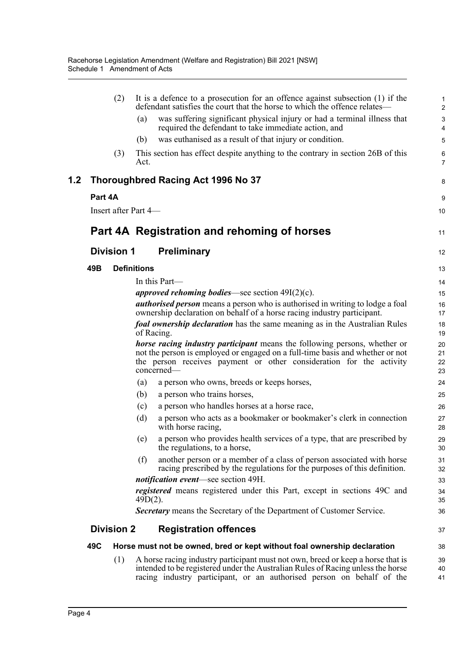|     |         | (2)               | It is a defence to a prosecution for an offence against subsection $(1)$ if the<br>defendant satisfies the court that the horse to which the offence relates—                                                                                   | 1<br>$\overline{2}$  |
|-----|---------|-------------------|-------------------------------------------------------------------------------------------------------------------------------------------------------------------------------------------------------------------------------------------------|----------------------|
|     |         |                   | was suffering significant physical injury or had a terminal illness that<br>(a)<br>required the defendant to take immediate action, and                                                                                                         | 3<br>4               |
|     |         |                   | was euthanised as a result of that injury or condition.<br>(b)                                                                                                                                                                                  | 5                    |
|     |         | (3)               | This section has effect despite anything to the contrary in section 26B of this<br>Act.                                                                                                                                                         | 6<br>7               |
| 1.2 |         |                   | Thoroughbred Racing Act 1996 No 37                                                                                                                                                                                                              | 8                    |
|     | Part 4A |                   |                                                                                                                                                                                                                                                 | 9                    |
|     |         |                   | Insert after Part 4-                                                                                                                                                                                                                            | 10                   |
|     |         |                   | Part 4A Registration and rehoming of horses                                                                                                                                                                                                     | 11                   |
|     |         | <b>Division 1</b> | <b>Preliminary</b>                                                                                                                                                                                                                              | 12                   |
|     | 49B     |                   | <b>Definitions</b>                                                                                                                                                                                                                              | 13                   |
|     |         |                   | In this Part-                                                                                                                                                                                                                                   | 14                   |
|     |         |                   | <i>approved rehoming bodies</i> —see section $49I(2)(c)$ .                                                                                                                                                                                      | 15                   |
|     |         |                   | <i>authorised person</i> means a person who is authorised in writing to lodge a foal<br>ownership declaration on behalf of a horse racing industry participant.                                                                                 | 16<br>17             |
|     |         |                   | <i>foal ownership declaration</i> has the same meaning as in the Australian Rules<br>of Racing.                                                                                                                                                 | 18<br>19             |
|     |         |                   | horse racing industry participant means the following persons, whether or<br>not the person is employed or engaged on a full-time basis and whether or not<br>the person receives payment or other consideration for the activity<br>concerned- | 20<br>21<br>22<br>23 |
|     |         |                   | a person who owns, breeds or keeps horses,<br>(a)                                                                                                                                                                                               | 24                   |
|     |         |                   | a person who trains horses,<br>(b)                                                                                                                                                                                                              | 25                   |
|     |         |                   | a person who handles horses at a horse race,<br>(c)                                                                                                                                                                                             | 26                   |
|     |         |                   | a person who acts as a bookmaker or bookmaker's clerk in connection<br>(d)<br>with horse racing,                                                                                                                                                | 27<br>28             |
|     |         |                   | a person who provides health services of a type, that are prescribed by<br>(e)<br>the regulations, to a horse,                                                                                                                                  | 29<br>30             |
|     |         |                   | another person or a member of a class of person associated with horse<br>(f)<br>racing prescribed by the regulations for the purposes of this definition.                                                                                       | 31<br>32             |
|     |         |                   | <i>notification event</i> —see section 49H.                                                                                                                                                                                                     | 33                   |
|     |         |                   | registered means registered under this Part, except in sections 49C and<br>$49D(2)$ .                                                                                                                                                           | 34<br>35             |
|     |         |                   | <b>Secretary</b> means the Secretary of the Department of Customer Service.                                                                                                                                                                     | 36                   |
|     |         | <b>Division 2</b> | <b>Registration offences</b>                                                                                                                                                                                                                    | 37                   |
|     | 49C     |                   | Horse must not be owned, bred or kept without foal ownership declaration                                                                                                                                                                        | 38                   |
|     |         | (1)               | A horse racing industry participant must not own, breed or keep a horse that is<br>intended to be registered under the Australian Rules of Racing unless the horse<br>racing industry participant, or an authorised person on behalf of the     | 39<br>40<br>41       |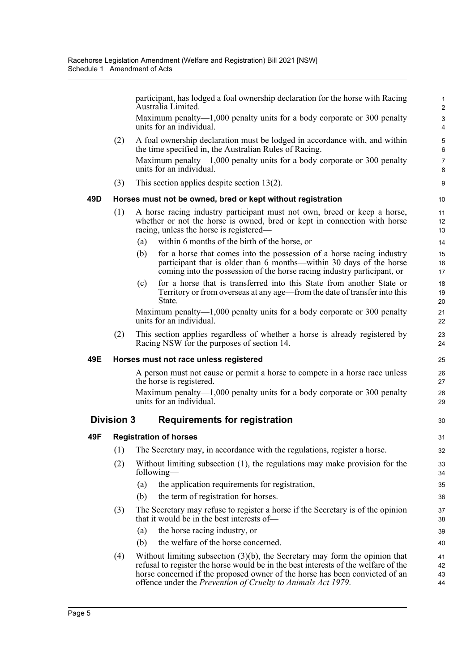participant, has lodged a foal ownership declaration for the horse with Racing Australia Limited. Maximum penalty—1,000 penalty units for a body corporate or 300 penalty units for an individual. (2) A foal ownership declaration must be lodged in accordance with, and within the time specified in, the Australian Rules of Racing. Maximum penalty—1,000 penalty units for a body corporate or 300 penalty units for an individual. (3) This section applies despite section 13(2). **49D Horses must not be owned, bred or kept without registration** (1) A horse racing industry participant must not own, breed or keep a horse, whether or not the horse is owned, bred or kept in connection with horse racing, unless the horse is registered— (a) within 6 months of the birth of the horse, or (b) for a horse that comes into the possession of a horse racing industry participant that is older than 6 months—within 30 days of the horse coming into the possession of the horse racing industry participant, or (c) for a horse that is transferred into this State from another State or Territory or from overseas at any age—from the date of transfer into this State. Maximum penalty—1,000 penalty units for a body corporate or 300 penalty units for an individual. (2) This section applies regardless of whether a horse is already registered by Racing NSW for the purposes of section 14. **49E Horses must not race unless registered** A person must not cause or permit a horse to compete in a horse race unless the horse is registered. Maximum penalty—1,000 penalty units for a body corporate or 300 penalty units for an individual. **Division 3 Requirements for registration 49F Registration of horses** (1) The Secretary may, in accordance with the regulations, register a horse. (2) Without limiting subsection (1), the regulations may make provision for the following— (a) the application requirements for registration, (b) the term of registration for horses. (3) The Secretary may refuse to register a horse if the Secretary is of the opinion that it would be in the best interests of— (a) the horse racing industry, or (b) the welfare of the horse concerned. (4) Without limiting subsection (3)(b), the Secretary may form the opinion that refusal to register the horse would be in the best interests of the welfare of the horse concerned if the proposed owner of the horse has been convicted of an 1 2 3 4 5 6 7 8 9 10 11 12 13 14 15 16 17 18 19 20  $21$  $22$ 23  $24$ 25 26 27 28 29 30 31 32 33 34 35 36 37 38 39 40 41 42 43

offence under the *Prevention of Cruelty to Animals Act 1979*.

44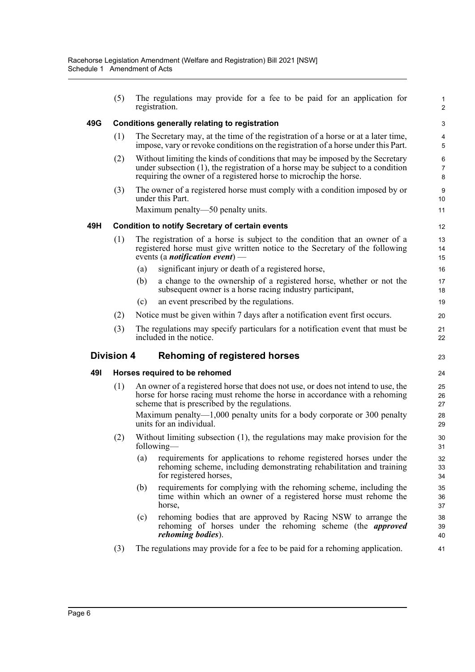|     | (5)               |     | The regulations may provide for a fee to be paid for an application for<br>registration.                                                                                                                                                 | 1<br>$\overline{2}$ |
|-----|-------------------|-----|------------------------------------------------------------------------------------------------------------------------------------------------------------------------------------------------------------------------------------------|---------------------|
| 49G |                   |     | Conditions generally relating to registration                                                                                                                                                                                            | 3                   |
|     | (1)               |     | The Secretary may, at the time of the registration of a horse or at a later time,<br>impose, vary or revoke conditions on the registration of a horse under this Part.                                                                   | 4<br>5              |
|     | (2)               |     | Without limiting the kinds of conditions that may be imposed by the Secretary<br>under subsection $(1)$ , the registration of a horse may be subject to a condition<br>requiring the owner of a registered horse to microchip the horse. | 6<br>7<br>8         |
|     | (3)               |     | The owner of a registered horse must comply with a condition imposed by or<br>under this Part.                                                                                                                                           | 9<br>10             |
|     |                   |     | Maximum penalty—50 penalty units.                                                                                                                                                                                                        | 11                  |
| 49H |                   |     | <b>Condition to notify Secretary of certain events</b>                                                                                                                                                                                   | 12                  |
|     | (1)               |     | The registration of a horse is subject to the condition that an owner of a<br>registered horse must give written notice to the Secretary of the following<br>events (a <i>notification event</i> ) —                                     | 13<br>14<br>15      |
|     |                   | (a) | significant injury or death of a registered horse,                                                                                                                                                                                       | 16                  |
|     |                   | (b) | a change to the ownership of a registered horse, whether or not the<br>subsequent owner is a horse racing industry participant,                                                                                                          | 17<br>18            |
|     |                   | (c) | an event prescribed by the regulations.                                                                                                                                                                                                  | 19                  |
|     | (2)               |     | Notice must be given within 7 days after a notification event first occurs.                                                                                                                                                              | 20                  |
|     | (3)               |     | The regulations may specify particulars for a notification event that must be<br>included in the notice.                                                                                                                                 | 21<br>22            |
|     | <b>Division 4</b> |     | <b>Rehoming of registered horses</b>                                                                                                                                                                                                     | 23                  |
| 491 |                   |     | Horses required to be rehomed                                                                                                                                                                                                            | 24                  |
|     | (1)               |     | An owner of a registered horse that does not use, or does not intend to use, the<br>horse for horse racing must rehome the horse in accordance with a rehoming<br>scheme that is prescribed by the regulations.                          | 25<br>26<br>27      |
|     |                   |     | Maximum penalty— $1,000$ penalty units for a body corporate or 300 penalty<br>units for an individual.                                                                                                                                   | 28<br>29            |
|     | (2)               |     | Without limiting subsection (1), the regulations may make provision for the                                                                                                                                                              | 30<br>31            |
|     |                   |     | following—                                                                                                                                                                                                                               |                     |
|     |                   | (a) | requirements for applications to rehome registered horses under the<br>rehoming scheme, including demonstrating rehabilitation and training<br>for registered horses,                                                                    | 32<br>33<br>34      |
|     |                   | (b) | requirements for complying with the rehoming scheme, including the<br>time within which an owner of a registered horse must rehome the<br>horse,                                                                                         | 35<br>36<br>37      |
|     |                   | (c) | rehoming bodies that are approved by Racing NSW to arrange the<br>rehoming of horses under the rehoming scheme (the <i>approved</i><br><i>rehoming bodies</i> ).                                                                         | 38<br>39<br>40      |
|     | (3)               |     | The regulations may provide for a fee to be paid for a rehoming application.                                                                                                                                                             | 41                  |